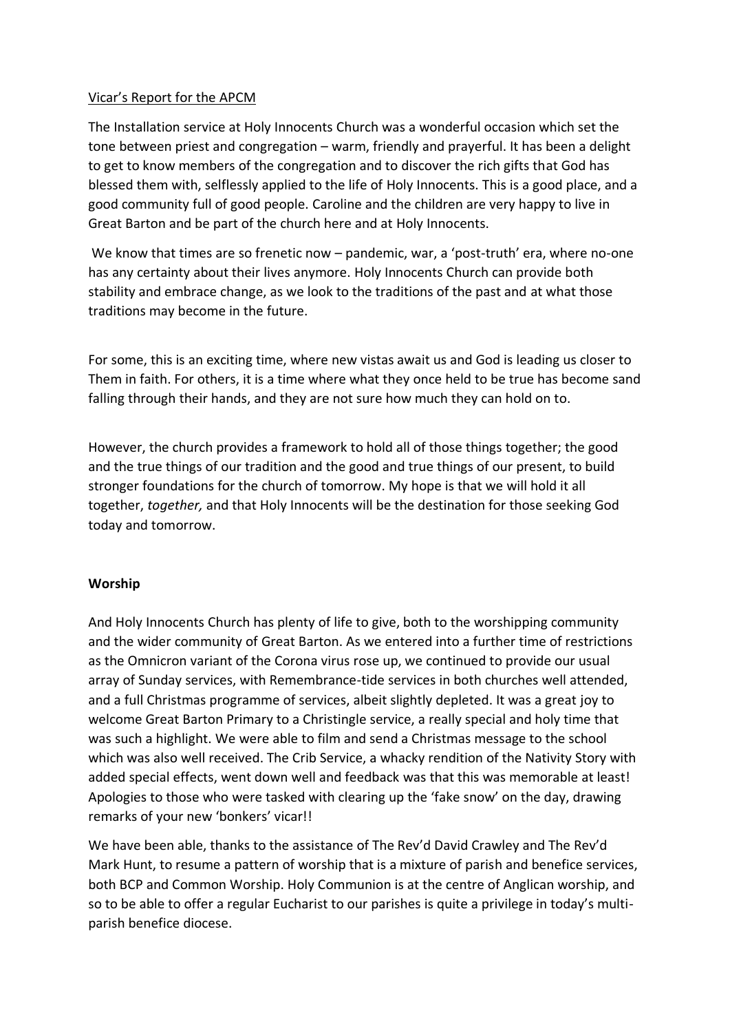### Vicar's Report for the APCM

The Installation service at Holy Innocents Church was a wonderful occasion which set the tone between priest and congregation – warm, friendly and prayerful. It has been a delight to get to know members of the congregation and to discover the rich gifts that God has blessed them with, selflessly applied to the life of Holy Innocents. This is a good place, and a good community full of good people. Caroline and the children are very happy to live in Great Barton and be part of the church here and at Holy Innocents.

We know that times are so frenetic now – pandemic, war, a 'post-truth' era, where no-one has any certainty about their lives anymore. Holy Innocents Church can provide both stability and embrace change, as we look to the traditions of the past and at what those traditions may become in the future.

For some, this is an exciting time, where new vistas await us and God is leading us closer to Them in faith. For others, it is a time where what they once held to be true has become sand falling through their hands, and they are not sure how much they can hold on to.

However, the church provides a framework to hold all of those things together; the good and the true things of our tradition and the good and true things of our present, to build stronger foundations for the church of tomorrow. My hope is that we will hold it all together, *together,* and that Holy Innocents will be the destination for those seeking God today and tomorrow.

#### **Worship**

And Holy Innocents Church has plenty of life to give, both to the worshipping community and the wider community of Great Barton. As we entered into a further time of restrictions as the Omnicron variant of the Corona virus rose up, we continued to provide our usual array of Sunday services, with Remembrance-tide services in both churches well attended, and a full Christmas programme of services, albeit slightly depleted. It was a great joy to welcome Great Barton Primary to a Christingle service, a really special and holy time that was such a highlight. We were able to film and send a Christmas message to the school which was also well received. The Crib Service, a whacky rendition of the Nativity Story with added special effects, went down well and feedback was that this was memorable at least! Apologies to those who were tasked with clearing up the 'fake snow' on the day, drawing remarks of your new 'bonkers' vicar!!

We have been able, thanks to the assistance of The Rev'd David Crawley and The Rev'd Mark Hunt, to resume a pattern of worship that is a mixture of parish and benefice services, both BCP and Common Worship. Holy Communion is at the centre of Anglican worship, and so to be able to offer a regular Eucharist to our parishes is quite a privilege in today's multiparish benefice diocese.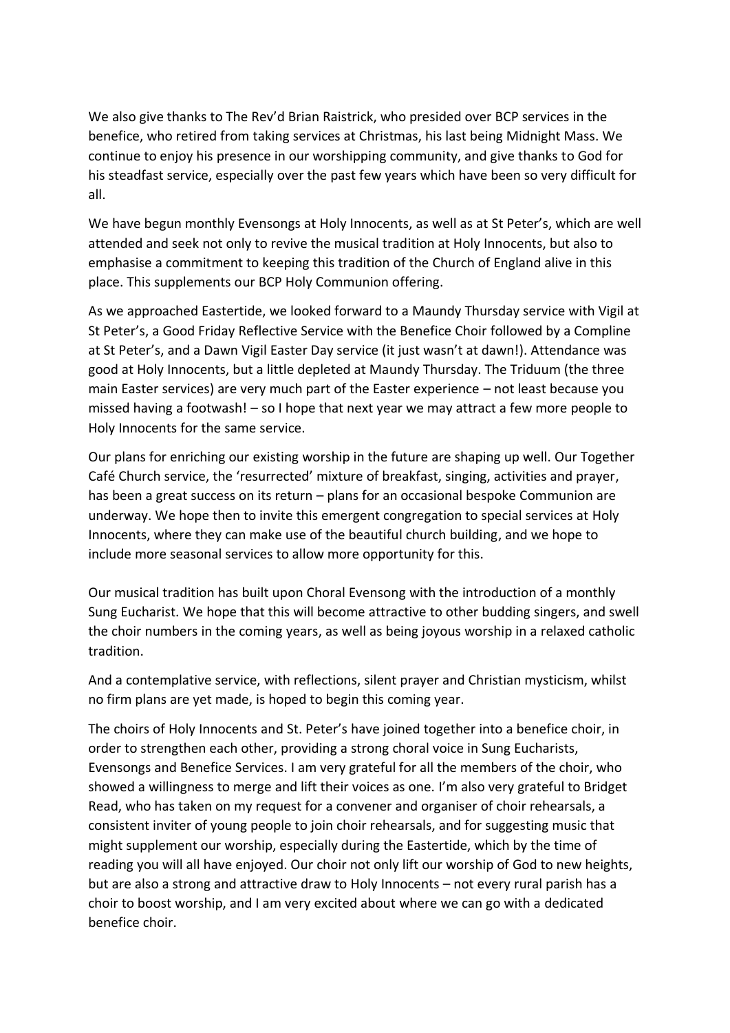We also give thanks to The Rev'd Brian Raistrick, who presided over BCP services in the benefice, who retired from taking services at Christmas, his last being Midnight Mass. We continue to enjoy his presence in our worshipping community, and give thanks to God for his steadfast service, especially over the past few years which have been so very difficult for all.

We have begun monthly Evensongs at Holy Innocents, as well as at St Peter's, which are well attended and seek not only to revive the musical tradition at Holy Innocents, but also to emphasise a commitment to keeping this tradition of the Church of England alive in this place. This supplements our BCP Holy Communion offering.

As we approached Eastertide, we looked forward to a Maundy Thursday service with Vigil at St Peter's, a Good Friday Reflective Service with the Benefice Choir followed by a Compline at St Peter's, and a Dawn Vigil Easter Day service (it just wasn't at dawn!). Attendance was good at Holy Innocents, but a little depleted at Maundy Thursday. The Triduum (the three main Easter services) are very much part of the Easter experience – not least because you missed having a footwash! – so I hope that next year we may attract a few more people to Holy Innocents for the same service.

Our plans for enriching our existing worship in the future are shaping up well. Our Together Café Church service, the 'resurrected' mixture of breakfast, singing, activities and prayer, has been a great success on its return – plans for an occasional bespoke Communion are underway. We hope then to invite this emergent congregation to special services at Holy Innocents, where they can make use of the beautiful church building, and we hope to include more seasonal services to allow more opportunity for this.

Our musical tradition has built upon Choral Evensong with the introduction of a monthly Sung Eucharist. We hope that this will become attractive to other budding singers, and swell the choir numbers in the coming years, as well as being joyous worship in a relaxed catholic tradition.

And a contemplative service, with reflections, silent prayer and Christian mysticism, whilst no firm plans are yet made, is hoped to begin this coming year.

The choirs of Holy Innocents and St. Peter's have joined together into a benefice choir, in order to strengthen each other, providing a strong choral voice in Sung Eucharists, Evensongs and Benefice Services. I am very grateful for all the members of the choir, who showed a willingness to merge and lift their voices as one. I'm also very grateful to Bridget Read, who has taken on my request for a convener and organiser of choir rehearsals, a consistent inviter of young people to join choir rehearsals, and for suggesting music that might supplement our worship, especially during the Eastertide, which by the time of reading you will all have enjoyed. Our choir not only lift our worship of God to new heights, but are also a strong and attractive draw to Holy Innocents – not every rural parish has a choir to boost worship, and I am very excited about where we can go with a dedicated benefice choir.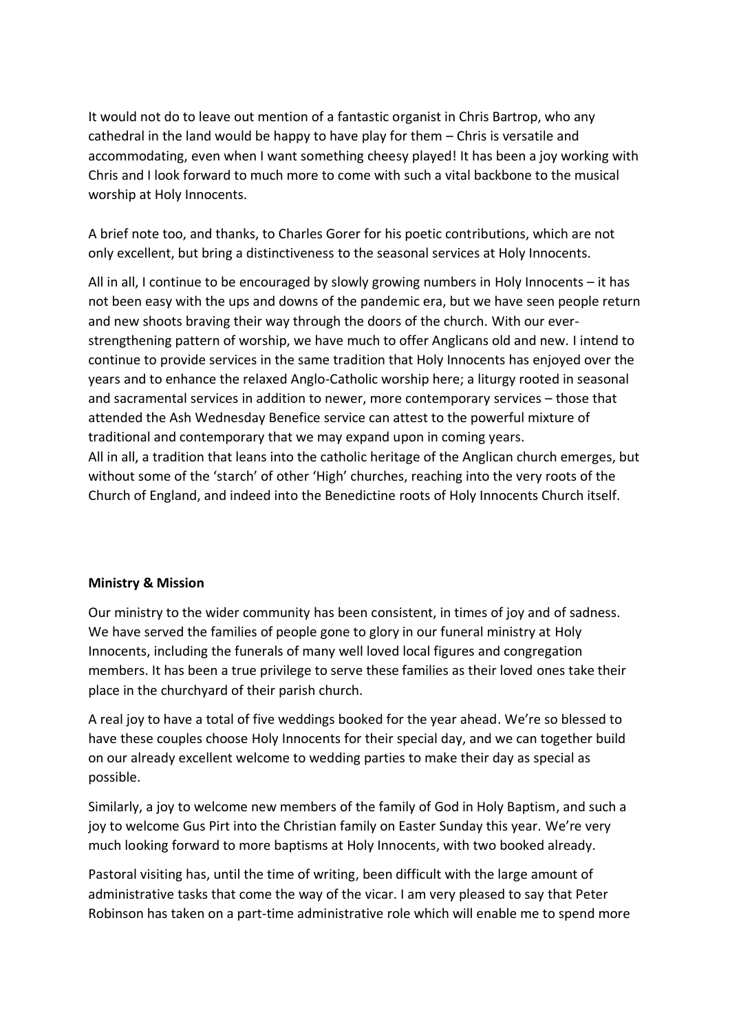It would not do to leave out mention of a fantastic organist in Chris Bartrop, who any cathedral in the land would be happy to have play for them – Chris is versatile and accommodating, even when I want something cheesy played! It has been a joy working with Chris and I look forward to much more to come with such a vital backbone to the musical worship at Holy Innocents.

A brief note too, and thanks, to Charles Gorer for his poetic contributions, which are not only excellent, but bring a distinctiveness to the seasonal services at Holy Innocents.

All in all, I continue to be encouraged by slowly growing numbers in Holy Innocents – it has not been easy with the ups and downs of the pandemic era, but we have seen people return and new shoots braving their way through the doors of the church. With our everstrengthening pattern of worship, we have much to offer Anglicans old and new. I intend to continue to provide services in the same tradition that Holy Innocents has enjoyed over the years and to enhance the relaxed Anglo-Catholic worship here; a liturgy rooted in seasonal and sacramental services in addition to newer, more contemporary services – those that attended the Ash Wednesday Benefice service can attest to the powerful mixture of traditional and contemporary that we may expand upon in coming years. All in all, a tradition that leans into the catholic heritage of the Anglican church emerges, but without some of the 'starch' of other 'High' churches, reaching into the very roots of the Church of England, and indeed into the Benedictine roots of Holy Innocents Church itself.

# **Ministry & Mission**

Our ministry to the wider community has been consistent, in times of joy and of sadness. We have served the families of people gone to glory in our funeral ministry at Holy Innocents, including the funerals of many well loved local figures and congregation members. It has been a true privilege to serve these families as their loved ones take their place in the churchyard of their parish church.

A real joy to have a total of five weddings booked for the year ahead. We're so blessed to have these couples choose Holy Innocents for their special day, and we can together build on our already excellent welcome to wedding parties to make their day as special as possible.

Similarly, a joy to welcome new members of the family of God in Holy Baptism, and such a joy to welcome Gus Pirt into the Christian family on Easter Sunday this year. We're very much looking forward to more baptisms at Holy Innocents, with two booked already.

Pastoral visiting has, until the time of writing, been difficult with the large amount of administrative tasks that come the way of the vicar. I am very pleased to say that Peter Robinson has taken on a part-time administrative role which will enable me to spend more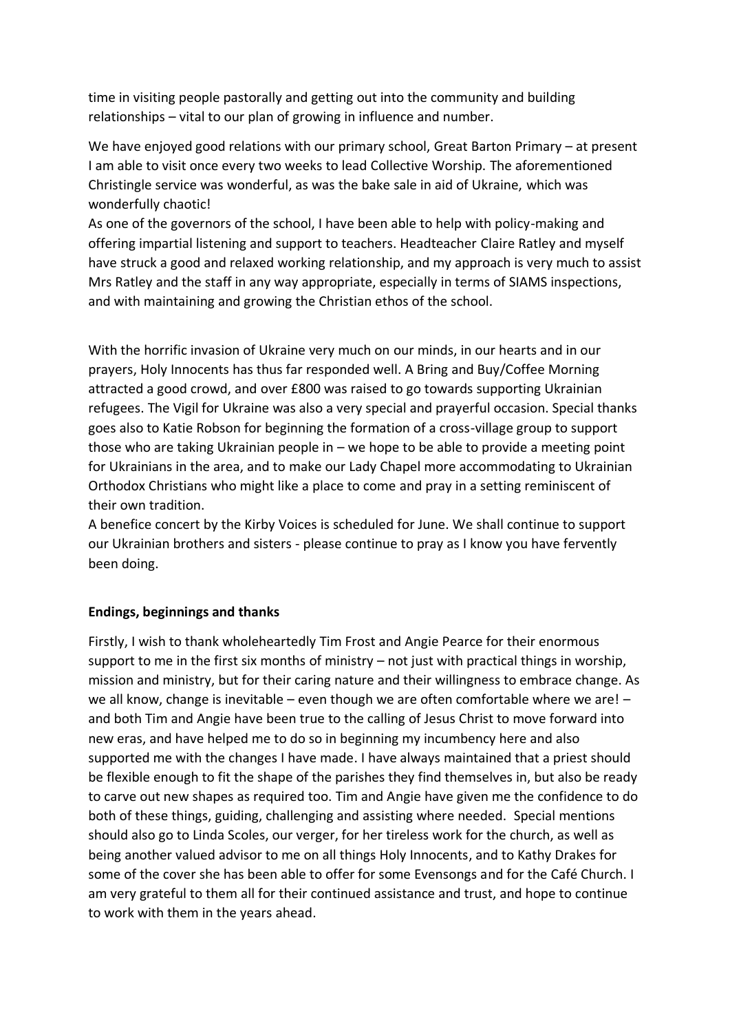time in visiting people pastorally and getting out into the community and building relationships – vital to our plan of growing in influence and number.

We have enjoyed good relations with our primary school, Great Barton Primary – at present I am able to visit once every two weeks to lead Collective Worship. The aforementioned Christingle service was wonderful, as was the bake sale in aid of Ukraine, which was wonderfully chaotic!

As one of the governors of the school, I have been able to help with policy-making and offering impartial listening and support to teachers. Headteacher Claire Ratley and myself have struck a good and relaxed working relationship, and my approach is very much to assist Mrs Ratley and the staff in any way appropriate, especially in terms of SIAMS inspections, and with maintaining and growing the Christian ethos of the school.

With the horrific invasion of Ukraine very much on our minds, in our hearts and in our prayers, Holy Innocents has thus far responded well. A Bring and Buy/Coffee Morning attracted a good crowd, and over £800 was raised to go towards supporting Ukrainian refugees. The Vigil for Ukraine was also a very special and prayerful occasion. Special thanks goes also to Katie Robson for beginning the formation of a cross-village group to support those who are taking Ukrainian people in – we hope to be able to provide a meeting point for Ukrainians in the area, and to make our Lady Chapel more accommodating to Ukrainian Orthodox Christians who might like a place to come and pray in a setting reminiscent of their own tradition.

A benefice concert by the Kirby Voices is scheduled for June. We shall continue to support our Ukrainian brothers and sisters - please continue to pray as I know you have fervently been doing.

# **Endings, beginnings and thanks**

Firstly, I wish to thank wholeheartedly Tim Frost and Angie Pearce for their enormous support to me in the first six months of ministry – not just with practical things in worship, mission and ministry, but for their caring nature and their willingness to embrace change. As we all know, change is inevitable – even though we are often comfortable where we are! – and both Tim and Angie have been true to the calling of Jesus Christ to move forward into new eras, and have helped me to do so in beginning my incumbency here and also supported me with the changes I have made. I have always maintained that a priest should be flexible enough to fit the shape of the parishes they find themselves in, but also be ready to carve out new shapes as required too. Tim and Angie have given me the confidence to do both of these things, guiding, challenging and assisting where needed. Special mentions should also go to Linda Scoles, our verger, for her tireless work for the church, as well as being another valued advisor to me on all things Holy Innocents, and to Kathy Drakes for some of the cover she has been able to offer for some Evensongs and for the Café Church. I am very grateful to them all for their continued assistance and trust, and hope to continue to work with them in the years ahead.